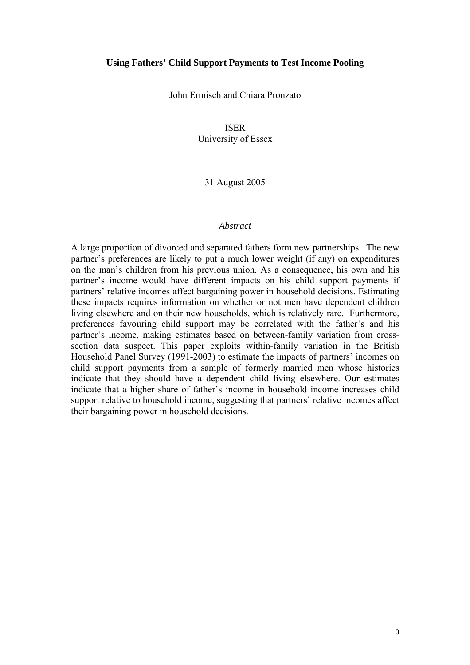### **Using Fathers' Child Support Payments to Test Income Pooling**

John Ermisch and Chiara Pronzato

# ISER

University of Essex

# 31 August 2005

### *Abstract*

A large proportion of divorced and separated fathers form new partnerships. The new partner's preferences are likely to put a much lower weight (if any) on expenditures on the man's children from his previous union. As a consequence, his own and his partner's income would have different impacts on his child support payments if partners' relative incomes affect bargaining power in household decisions. Estimating these impacts requires information on whether or not men have dependent children living elsewhere and on their new households, which is relatively rare. Furthermore, preferences favouring child support may be correlated with the father's and his partner's income, making estimates based on between-family variation from crosssection data suspect. This paper exploits within-family variation in the British Household Panel Survey (1991-2003) to estimate the impacts of partners' incomes on child support payments from a sample of formerly married men whose histories indicate that they should have a dependent child living elsewhere. Our estimates indicate that a higher share of father's income in household income increases child support relative to household income, suggesting that partners' relative incomes affect their bargaining power in household decisions.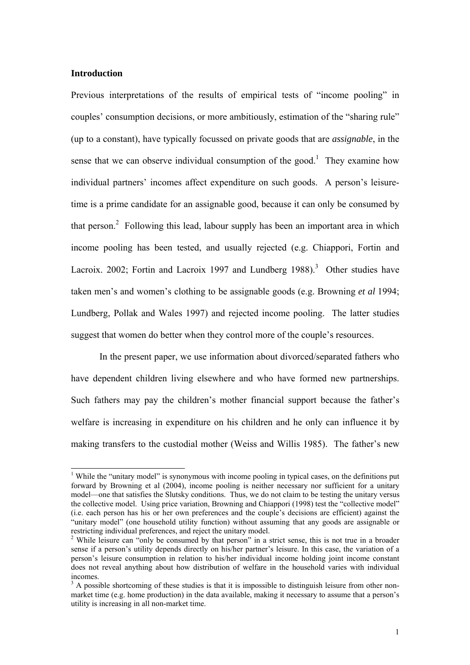# **Introduction**

Previous interpretations of the results of empirical tests of "income pooling" in couples' consumption decisions, or more ambitiously, estimation of the "sharing rule" (up to a constant), have typically focussed on private goods that are *assignable*, in the sense that we can observe individual consumption of the good.<sup>1</sup> They examine how individual partners' incomes affect expenditure on such goods. A person's leisuretime is a prime candidate for an assignable good, because it can only be consumed by that person. $2$  Following this lead, labour supply has been an important area in which income pooling has been tested, and usually rejected (e.g. Chiappori, Fortin and Lacroix. 2002; Fortin and Lacroix 1997 and Lundberg  $1988$ ).<sup>3</sup> Other studies have taken men's and women's clothing to be assignable goods (e.g. Browning *et al* 1994; Lundberg, Pollak and Wales 1997) and rejected income pooling. The latter studies suggest that women do better when they control more of the couple's resources.

 In the present paper, we use information about divorced/separated fathers who have dependent children living elsewhere and who have formed new partnerships. Such fathers may pay the children's mother financial support because the father's welfare is increasing in expenditure on his children and he only can influence it by making transfers to the custodial mother (Weiss and Willis 1985). The father's new

<sup>&</sup>lt;sup>1</sup> While the "unitary model" is synonymous with income pooling in typical cases, on the definitions put forward by Browning et al (2004), income pooling is neither necessary nor sufficient for a unitary model—one that satisfies the Slutsky conditions. Thus, we do not claim to be testing the unitary versus the collective model. Using price variation, Browning and Chiappori (1998) test the "collective model" (i.e. each person has his or her own preferences and the couple's decisions are efficient) against the "unitary model" (one household utility function) without assuming that any goods are assignable or restricting individual preferences, and reject the unitary model. 2

<sup>&</sup>lt;sup>2</sup> While leisure can "only be consumed by that person" in a strict sense, this is not true in a broader sense if a person's utility depends directly on his/her partner's leisure. In this case, the variation of a person's leisure consumption in relation to his/her individual income holding joint income constant does not reveal anything about how distribution of welfare in the household varies with individual incomes.

 $3$  A possible shortcoming of these studies is that it is impossible to distinguish leisure from other nonmarket time (e.g. home production) in the data available, making it necessary to assume that a person's utility is increasing in all non-market time.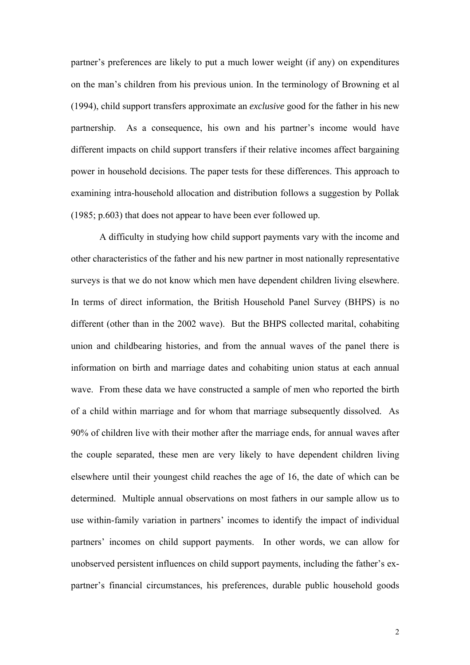partner's preferences are likely to put a much lower weight (if any) on expenditures on the man's children from his previous union. In the terminology of Browning et al (1994), child support transfers approximate an *exclusive* good for the father in his new partnership. As a consequence, his own and his partner's income would have different impacts on child support transfers if their relative incomes affect bargaining power in household decisions. The paper tests for these differences. This approach to examining intra-household allocation and distribution follows a suggestion by Pollak (1985; p.603) that does not appear to have been ever followed up.

 A difficulty in studying how child support payments vary with the income and other characteristics of the father and his new partner in most nationally representative surveys is that we do not know which men have dependent children living elsewhere. In terms of direct information, the British Household Panel Survey (BHPS) is no different (other than in the 2002 wave). But the BHPS collected marital, cohabiting union and childbearing histories, and from the annual waves of the panel there is information on birth and marriage dates and cohabiting union status at each annual wave. From these data we have constructed a sample of men who reported the birth of a child within marriage and for whom that marriage subsequently dissolved. As 90% of children live with their mother after the marriage ends, for annual waves after the couple separated, these men are very likely to have dependent children living elsewhere until their youngest child reaches the age of 16, the date of which can be determined. Multiple annual observations on most fathers in our sample allow us to use within-family variation in partners' incomes to identify the impact of individual partners' incomes on child support payments. In other words, we can allow for unobserved persistent influences on child support payments, including the father's expartner's financial circumstances, his preferences, durable public household goods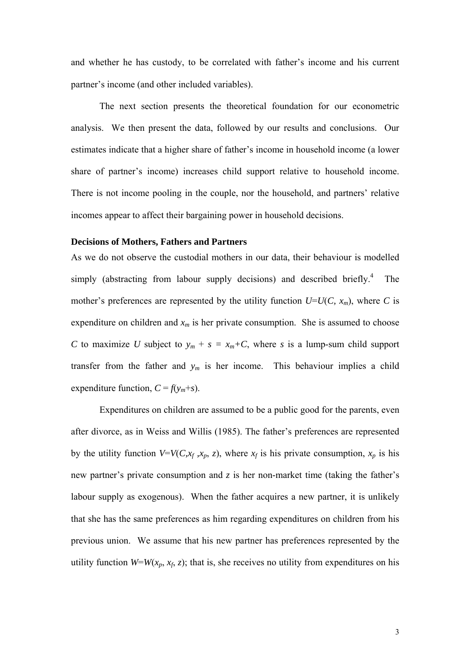and whether he has custody, to be correlated with father's income and his current partner's income (and other included variables).

The next section presents the theoretical foundation for our econometric analysis. We then present the data, followed by our results and conclusions. Our estimates indicate that a higher share of father's income in household income (a lower share of partner's income) increases child support relative to household income. There is not income pooling in the couple, nor the household, and partners' relative incomes appear to affect their bargaining power in household decisions.

### **Decisions of Mothers, Fathers and Partners**

As we do not observe the custodial mothers in our data, their behaviour is modelled simply (abstracting from labour supply decisions) and described briefly.<sup>4</sup> The mother's preferences are represented by the utility function  $U=U(C, x_m)$ , where *C* is expenditure on children and  $x_m$  is her private consumption. She is assumed to choose *C* to maximize *U* subject to  $y_m + s = x_m + C$ , where *s* is a lump-sum child support transfer from the father and  $y_m$  is her income. This behaviour implies a child expenditure function,  $C = f(y_m + s)$ .

Expenditures on children are assumed to be a public good for the parents, even after divorce, as in Weiss and Willis (1985). The father's preferences are represented by the utility function  $V=V(C,x_f,x_p,z)$ , where  $x_f$  is his private consumption,  $x_p$  is his new partner's private consumption and  $z$  is her non-market time (taking the father's labour supply as exogenous). When the father acquires a new partner, it is unlikely that she has the same preferences as him regarding expenditures on children from his previous union. We assume that his new partner has preferences represented by the utility function  $W=W(x_p, x_f, z)$ ; that is, she receives no utility from expenditures on his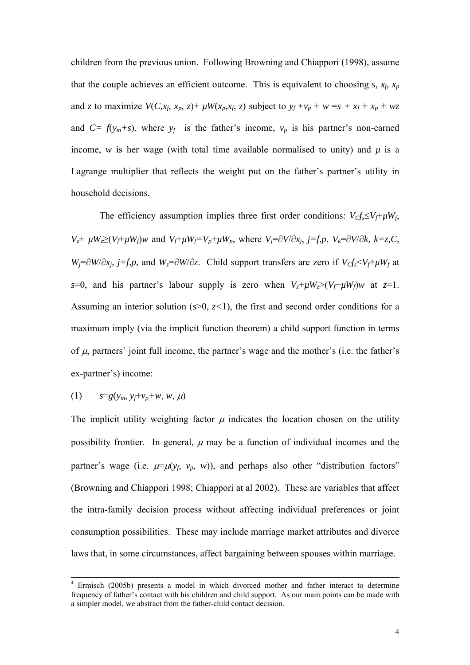children from the previous union. Following Browning and Chiappori (1998), assume that the couple achieves an efficient outcome. This is equivalent to choosing  $s$ ,  $x_f$ ,  $x_p$ and *z* to maximize  $V(C, x_f, x_p, z)$ +  $\mu W(x_p, x_f, z)$  subject to  $y_f + v_p + w = s + x_f + x_p + wz$ and  $C = f(y_m+s)$ , where  $y_f$  is the father's income,  $v_p$  is his partner's non-earned income, *w* is her wage (with total time available normalised to unity) and  $\mu$  is a Lagrange multiplier that reflects the weight put on the father's partner's utility in household decisions.

The efficiency assumption implies three first order conditions:  $V_C f_s \leq V_f + \mu W_f$ , *V<sub>z</sub>*+  $\mu$ *W<sub>z</sub>*≥(*V<sub>f</sub>*+ $\mu$ *W<sub>f</sub>*)*w* and *V<sub>f</sub>*+ $\mu$ *W<sub>f</sub>*=*V<sub>p</sub>*+ $\mu$ *W<sub>p</sub>*, where *V<sub>i</sub>*=∂*V*/∂*x<sub>i</sub>*, *j*=*f*,*p*, *V<sub>k</sub>*=∂*V*/∂*k*, *k*=*z*,*C*, *Wj*=∂*W*/∂*x<sub>i</sub>*, *j*=*f,p*, and *W<sub>z</sub>*=∂*W*/∂*z*. Child support transfers are zero if *V<sub>C</sub>f<sub>s</sub>*<*V<sub>f</sub>*+*µW<sub>f</sub>* at *s*=0, and his partner's labour supply is zero when  $V_z + \mu W_z > (V_f + \mu W_f)w$  at  $z=1$ . Assuming an interior solution  $(s>0, z<1)$ , the first and second order conditions for a maximum imply (via the implicit function theorem) a child support function in terms of  $\mu$ , partners' joint full income, the partner's wage and the mother's (i.e. the father's ex-partner's) income:

$$
(1) \t s=g(y_m, y_f+v_p+w, w, \mu)
$$

The implicit utility weighting factor  $\mu$  indicates the location chosen on the utility possibility frontier. In general,  $\mu$  may be a function of individual incomes and the partner's wage (i.e.  $\mu = \mu(y_f, y_p, w)$ ), and perhaps also other "distribution factors" (Browning and Chiappori 1998; Chiappori at al 2002). These are variables that affect the intra-family decision process without affecting individual preferences or joint consumption possibilities. These may include marriage market attributes and divorce laws that, in some circumstances, affect bargaining between spouses within marriage.

<sup>-&</sup>lt;br>4 Ermisch (2005b) presents a model in which divorced mother and father interact to determine frequency of father's contact with his children and child support. As our main points can be made with a simpler model, we abstract from the father-child contact decision.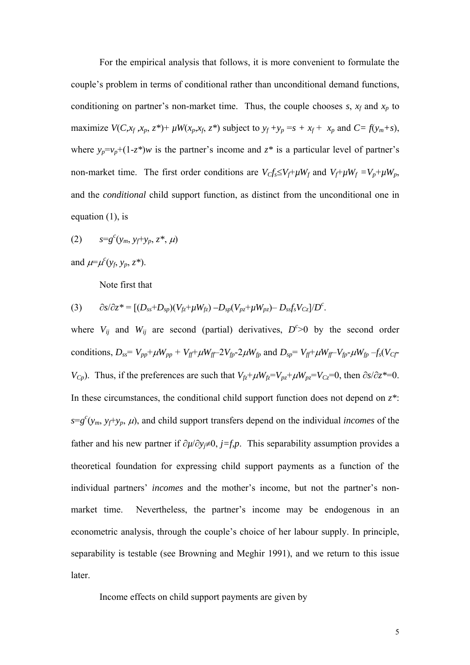For the empirical analysis that follows, it is more convenient to formulate the couple's problem in terms of conditional rather than unconditional demand functions, conditioning on partner's non-market time. Thus, the couple chooses  $s$ ,  $x_f$  and  $x_p$  to maximize  $V(C, x_f, x_p, z^*)$ +  $\mu W(x_p, x_f, z^*)$  subject to  $y_f + y_p = s + x_f + x_p$  and  $C = f(y_m + s)$ , where  $y_p = v_p + (1 - z^*)w$  is the partner's income and  $z^*$  is a particular level of partner's non-market time. The first order conditions are  $V_c f_s \le V_f + \mu W_f$  and  $V_f + \mu W_f = V_p + \mu W_p$ , and the *conditional* child support function, as distinct from the unconditional one in equation (1), is

(2) 
$$
s=g^{c}(y_{m}, y_{f}+y_{p}, z^{*}, \mu)
$$

and  $\mu = \mu^c(y_f, y_p, z^*)$ .

Note first that

(3) 
$$
\partial s/\partial z^* = [(D_{ss} + D_{sp})(V_{fz} + \mu W_{fz}) - D_{sp}(V_{pz} + \mu W_{pz}) - D_{ss}f_sV_{Cz}]/D^c.
$$

where  $V_{ij}$  and  $W_{ij}$  are second (partial) derivatives,  $D^{c} > 0$  by the second order conditions,  $D_{ss} = V_{pp} + \mu W_{pp} + V_{ff} + \mu W_{ff} - 2V_{fp} - 2\mu W_{fp}$  and  $D_{sp} = V_{ff} + \mu W_{ff} - V_{fp} - \mu W_{fp} - f_s(V_{cf} - V_{ff})$ *V<sub>Cp</sub>*). Thus, if the preferences are such that  $V_{f\overline{x}}+\mu W_{f\overline{x}}=V_{p\overline{z}}+\mu W_{p\overline{z}}=V_{C\overline{z}}=0$ , then  $\partial s/\partial z^* = 0$ . In these circumstances, the conditional child support function does not depend on  $z^*$ :  $s = g^c(y_m, y_f + y_p, \mu)$ , and child support transfers depend on the individual *incomes* of the father and his new partner if ∂*µ*/∂*yj*≠0, *j=f,p*. This separability assumption provides a theoretical foundation for expressing child support payments as a function of the individual partners' *incomes* and the mother's income, but not the partner's nonmarket time. Nevertheless, the partner's income may be endogenous in an econometric analysis, through the couple's choice of her labour supply. In principle, separability is testable (see Browning and Meghir 1991), and we return to this issue later.

Income effects on child support payments are given by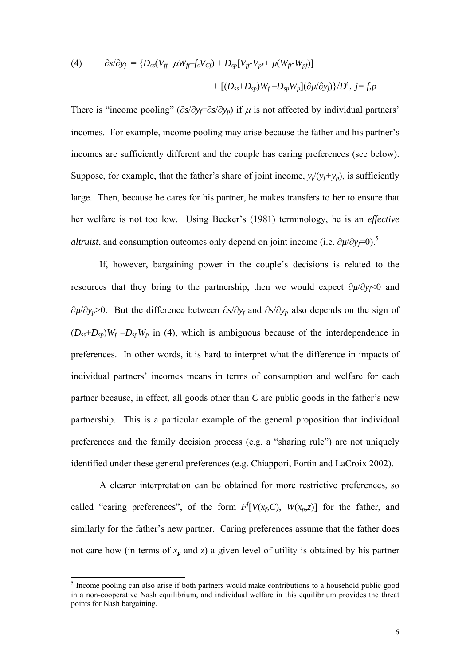(4) 
$$
\partial s/\partial y_j = \{D_{ss}(V_{ff} + \mu W_{ff} - f_s V_{Cf}) + D_{sp}[V_{ff} - V_{pf} + \mu (W_{ff} - W_{pf})] + [(D_{ss} + D_{sp})W_f - D_{sp}W_p](\partial \mu/\partial y_j)\}/D^c, j = f, p
$$

There is "income pooling" ( $\partial s/\partial y_f = \partial s/\partial y_p$ ) if  $\mu$  is not affected by individual partners' incomes. For example, income pooling may arise because the father and his partner's incomes are sufficiently different and the couple has caring preferences (see below). Suppose, for example, that the father's share of joint income,  $y_f(y_f+y_p)$ , is sufficiently large. Then, because he cares for his partner, he makes transfers to her to ensure that her welfare is not too low. Using Becker's (1981) terminology, he is an *effective altruist*, and consumption outcomes only depend on joint income (i.e.  $\partial \mu / \partial y_j = 0$ ).<sup>5</sup>

If, however, bargaining power in the couple's decisions is related to the resources that they bring to the partnership, then we would expect ∂*µ*/∂*yf*<0 and ∂*µ*/∂*yp*>0. But the difference between ∂*s*/∂*yf* and ∂*s*/∂*yp* also depends on the sign of  $(D_{ss}+D_{sp})W_f - D_{sp}W_p$  in (4), which is ambiguous because of the interdependence in preferences. In other words, it is hard to interpret what the difference in impacts of individual partners' incomes means in terms of consumption and welfare for each partner because, in effect, all goods other than *C* are public goods in the father's new partnership. This is a particular example of the general proposition that individual preferences and the family decision process (e.g. a "sharing rule") are not uniquely identified under these general preferences (e.g. Chiappori, Fortin and LaCroix 2002).

 A clearer interpretation can be obtained for more restrictive preferences, so called "caring preferences", of the form  $F[V(x_f, C), W(x_f, z)]$  for the father, and similarly for the father's new partner. Caring preferences assume that the father does not care how (in terms of  $x_p$  and  $z$ ) a given level of utility is obtained by his partner

<sup>&</sup>lt;sup>5</sup> Income pooling can also arise if both partners would make contributions to a household public good in a non-cooperative Nash equilibrium, and individual welfare in this equilibrium provides the threat points for Nash bargaining.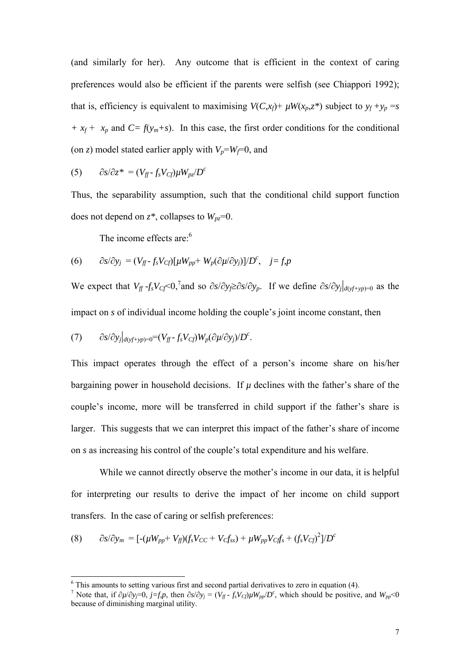(and similarly for her). Any outcome that is efficient in the context of caring preferences would also be efficient if the parents were selfish (see Chiappori 1992); that is, efficiency is equivalent to maximising  $V(C, x_f)$ +  $\mu W(x_p, z^*)$  subject to  $y_f + y_p = s$  $+x_f + x_p$  and  $C = f(y_m + s)$ . In this case, the first order conditions for the conditional (on *z*) model stated earlier apply with  $V_p = W_f = 0$ , and

$$
(5) \qquad \partial s/\partial z^* = (V_{ff} - f_s V_{cf}) \mu W_{pz}/D^c
$$

Thus, the separability assumption, such that the conditional child support function does not depend on  $z^*$ , collapses to  $W_{pz}$ =0.

The income effects are:<sup>6</sup>

(6) 
$$
\partial s/\partial y_j = (V_{ff} - f_s V_{Cf})[\mu W_{pp} + W_p(\partial \mu/\partial y_j)]/D^c, \quad j = f, p
$$

We expect that  $V_f - f_s V_{cf} < 0$ , and so  $\partial s / \partial y \ge \partial s / \partial y_p$ . If we define  $\partial s / \partial y_j|_{d(yf+yp)=0}$  as the impact on *s* of individual income holding the couple's joint income constant, then

(7) 
$$
\partial s/\partial y_j|_{d(yf+yp)=0} = (V_{ff} - f_s V_{Cf}) W_p (\partial \mu/\partial y_j)/D^c.
$$

This impact operates through the effect of a person's income share on his/her bargaining power in household decisions. If  $\mu$  declines with the father's share of the couple's income, more will be transferred in child support if the father's share is larger. This suggests that we can interpret this impact of the father's share of income on *s* as increasing his control of the couple's total expenditure and his welfare.

While we cannot directly observe the mother's income in our data, it is helpful for interpreting our results to derive the impact of her income on child support transfers. In the case of caring or selfish preferences:

(8) 
$$
\partial s/\partial y_m = [-(\mu W_{pp} + V_{ff})(f_s V_{CC} + V_C f_{ss}) + \mu W_{pp} V_{Cf} f_s + (f_s V_{Cf})^2]/D^c
$$

 6 This amounts to setting various first and second partial derivatives to zero in equation (4).

<sup>&</sup>lt;sup>7</sup> Note that, if  $\partial \mu / \partial y_j = 0$ ,  $j = f, p$ , then  $\partial s / \partial y_j = (V_f - f_s V_{cf}) \mu W_{pp}/D^c$ , which should be positive, and  $W_{pp} < 0$ because of diminishing marginal utility.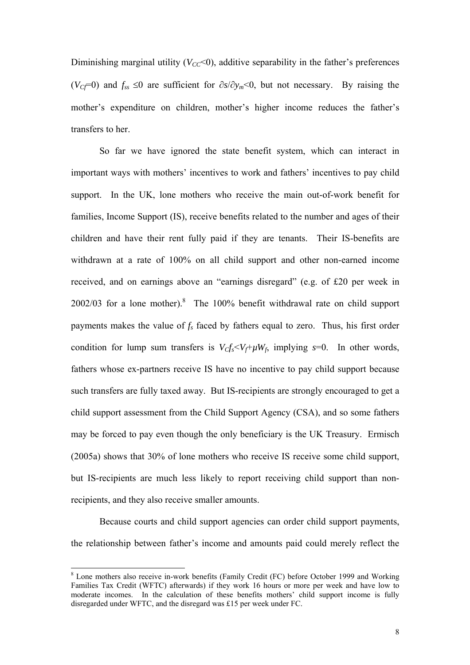Diminishing marginal utility  $(V_{CC} < 0)$ , additive separability in the father's preferences (*VCf*=0) and *fss* ≤0 are sufficient for ∂*s*/∂*ym*<0, but not necessary. By raising the mother's expenditure on children, mother's higher income reduces the father's transfers to her.

 So far we have ignored the state benefit system, which can interact in important ways with mothers' incentives to work and fathers' incentives to pay child support. In the UK, lone mothers who receive the main out-of-work benefit for families, Income Support (IS), receive benefits related to the number and ages of their children and have their rent fully paid if they are tenants. Their IS-benefits are withdrawn at a rate of 100% on all child support and other non-earned income received, and on earnings above an "earnings disregard" (e.g. of £20 per week in  $2002/03$  for a lone mother).<sup>8</sup> The 100% benefit withdrawal rate on child support payments makes the value of  $f_s$  faced by fathers equal to zero. Thus, his first order condition for lump sum transfers is  $V_{C}f_s < V_f + \mu W_f$ , implying  $s=0$ . In other words, fathers whose ex-partners receive IS have no incentive to pay child support because such transfers are fully taxed away. But IS-recipients are strongly encouraged to get a child support assessment from the Child Support Agency (CSA), and so some fathers may be forced to pay even though the only beneficiary is the UK Treasury. Ermisch (2005a) shows that 30% of lone mothers who receive IS receive some child support, but IS-recipients are much less likely to report receiving child support than nonrecipients, and they also receive smaller amounts.

Because courts and child support agencies can order child support payments, the relationship between father's income and amounts paid could merely reflect the

l

<sup>&</sup>lt;sup>8</sup> Lone mothers also receive in-work benefits (Family Credit (FC) before October 1999 and Working Families Tax Credit (WFTC) afterwards) if they work 16 hours or more per week and have low to moderate incomes. In the calculation of these benefits mothers' child support income is fully disregarded under WFTC, and the disregard was £15 per week under FC.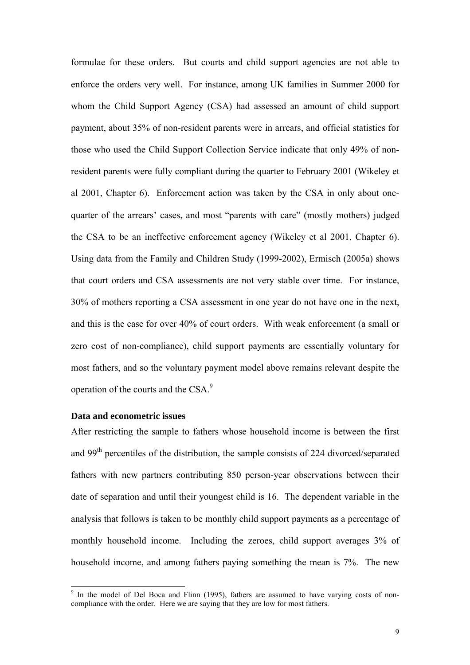formulae for these orders. But courts and child support agencies are not able to enforce the orders very well. For instance, among UK families in Summer 2000 for whom the Child Support Agency (CSA) had assessed an amount of child support payment, about 35% of non-resident parents were in arrears, and official statistics for those who used the Child Support Collection Service indicate that only 49% of nonresident parents were fully compliant during the quarter to February 2001 (Wikeley et al 2001, Chapter 6). Enforcement action was taken by the CSA in only about onequarter of the arrears' cases, and most "parents with care" (mostly mothers) judged the CSA to be an ineffective enforcement agency (Wikeley et al 2001, Chapter 6). Using data from the Family and Children Study (1999-2002), Ermisch (2005a) shows that court orders and CSA assessments are not very stable over time. For instance, 30% of mothers reporting a CSA assessment in one year do not have one in the next, and this is the case for over 40% of court orders. With weak enforcement (a small or zero cost of non-compliance), child support payments are essentially voluntary for most fathers, and so the voluntary payment model above remains relevant despite the operation of the courts and the CSA.<sup>9</sup>

#### **Data and econometric issues**

l

After restricting the sample to fathers whose household income is between the first and 99<sup>th</sup> percentiles of the distribution, the sample consists of 224 divorced/separated fathers with new partners contributing 850 person-year observations between their date of separation and until their youngest child is 16. The dependent variable in the analysis that follows is taken to be monthly child support payments as a percentage of monthly household income. Including the zeroes, child support averages 3% of household income, and among fathers paying something the mean is 7%. The new

<sup>&</sup>lt;sup>9</sup> In the model of Del Boca and Flinn (1995), fathers are assumed to have varying costs of noncompliance with the order. Here we are saying that they are low for most fathers.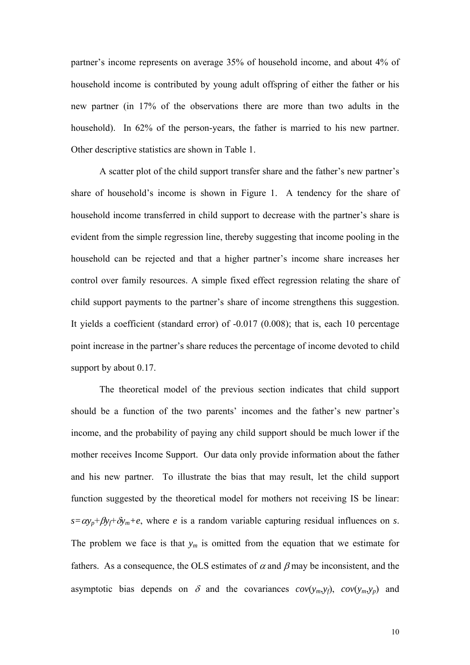partner's income represents on average 35% of household income, and about 4% of household income is contributed by young adult offspring of either the father or his new partner (in 17% of the observations there are more than two adults in the household). In 62% of the person-years, the father is married to his new partner. Other descriptive statistics are shown in Table 1.

A scatter plot of the child support transfer share and the father's new partner's share of household's income is shown in Figure 1. A tendency for the share of household income transferred in child support to decrease with the partner's share is evident from the simple regression line, thereby suggesting that income pooling in the household can be rejected and that a higher partner's income share increases her control over family resources. A simple fixed effect regression relating the share of child support payments to the partner's share of income strengthens this suggestion. It yields a coefficient (standard error) of -0.017 (0.008); that is, each 10 percentage point increase in the partner's share reduces the percentage of income devoted to child support by about 0.17.

 The theoretical model of the previous section indicates that child support should be a function of the two parents' incomes and the father's new partner's income, and the probability of paying any child support should be much lower if the mother receives Income Support. Our data only provide information about the father and his new partner. To illustrate the bias that may result, let the child support function suggested by the theoretical model for mothers not receiving IS be linear:  $s = \alpha y_p + \beta y_f + \delta y_m + e$ , where *e* is a random variable capturing residual influences on *s*. The problem we face is that  $y_m$  is omitted from the equation that we estimate for fathers. As a consequence, the OLS estimates of  $\alpha$  and  $\beta$  may be inconsistent, and the asymptotic bias depends on  $\delta$  and the covariances  $cov(y_m, y_f)$ ,  $cov(y_m, y_p)$  and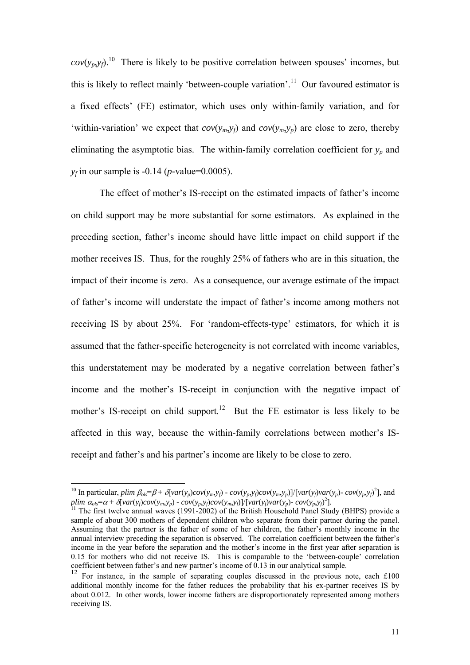$cov(y_p, y_f)$ .<sup>10</sup> There is likely to be positive correlation between spouses' incomes, but this is likely to reflect mainly 'between-couple variation'.<sup>11</sup> Our favoured estimator is a fixed effects' (FE) estimator, which uses only within-family variation, and for 'within-variation' we expect that  $cov(y_m, y_f)$  and  $cov(y_m, y_p)$  are close to zero, thereby eliminating the asymptotic bias. The within-family correlation coefficient for  $y_p$  and *yf* in our sample is -0.14 (*p-*value=0.0005).

The effect of mother's IS-receipt on the estimated impacts of father's income on child support may be more substantial for some estimators. As explained in the preceding section, father's income should have little impact on child support if the mother receives IS. Thus, for the roughly 25% of fathers who are in this situation, the impact of their income is zero. As a consequence, our average estimate of the impact of father's income will understate the impact of father's income among mothers not receiving IS by about 25%. For 'random-effects-type' estimators, for which it is assumed that the father-specific heterogeneity is not correlated with income variables, this understatement may be moderated by a negative correlation between father's income and the mother's IS-receipt in conjunction with the negative impact of mother's IS-receipt on child support.<sup>12</sup> But the FE estimator is less likely to be affected in this way, because the within-family correlations between mother's ISreceipt and father's and his partner's income are likely to be close to zero.

l

<sup>&</sup>lt;sup>10</sup> In particular, plim  $\beta_{ols} = \beta + \delta [var(y_p)cov(y_m, y_f) - cov(y_p, y_f)cov(y_m, y_p)]/[var(y_f)var(y_p) - cov(y_p, y_f)^2]$ , and plim  $\alpha_{ols} = \alpha + \delta \langle var(y_f) cov(y_m, y_p) - cov(y_p, y_f) cov(y_m, y_f) \rangle / [var(y_f) var(y_p) - cov(y_p, y_f)^2]$ .<br><sup>11</sup> The first twelve annual waves (1991-2002) of the British Household Panel Study (BHPS) provide a

sample of about 300 mothers of dependent children who separate from their partner during the panel. Assuming that the partner is the father of some of her children, the father's monthly income in the annual interview preceding the separation is observed. The correlation coefficient between the father's income in the year before the separation and the mother's income in the first year after separation is 0.15 for mothers who did not receive IS. This is comparable to the 'between-couple' correlation coefficient between father's and new partner's income of 0.13 in our analytical sample.

<sup>&</sup>lt;sup>12</sup> For instance, in the sample of separating couples discussed in the previous note, each £100 additional monthly income for the father reduces the probability that his ex-partner receives IS by about 0.012. In other words, lower income fathers are disproportionately represented among mothers receiving IS.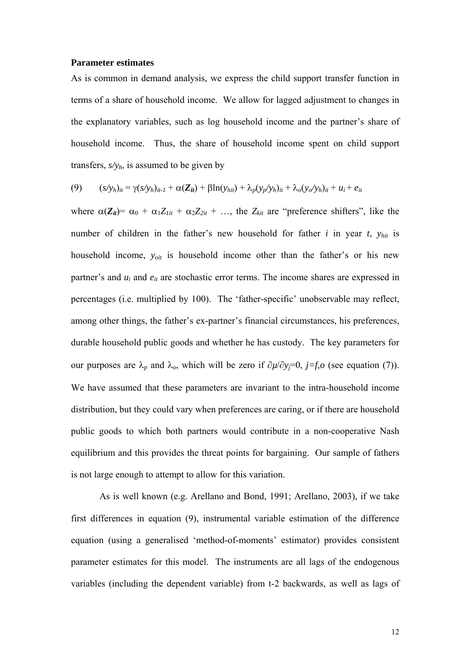#### **Parameter estimates**

As is common in demand analysis, we express the child support transfer function in terms of a share of household income. We allow for lagged adjustment to changes in the explanatory variables, such as log household income and the partner's share of household income. Thus, the share of household income spent on child support transfers,  $s/y<sub>h</sub>$ , is assumed to be given by

$$
(9) \qquad (s/yh)it = \gamma(s/yh)it-1 + \alpha(Zit) + \beta \ln(yhit) + \lambda_p(y_p/y_h)it + \lambda_o(y_o/y_h)it + ui + eit
$$

where  $\alpha(Z_{it}) = \alpha_0 + \alpha_1 Z_{lit} + \alpha_2 Z_{2it} + \ldots$ , the  $Z_{kit}$  are "preference shifters", like the number of children in the father's new household for father *i* in year *t*, *yhit* is household income, *yoit* is household income other than the father's or his new partner's and  $u_i$  and  $e_{it}$  are stochastic error terms. The income shares are expressed in percentages (i.e. multiplied by 100). The 'father-specific' unobservable may reflect, among other things, the father's ex-partner's financial circumstances, his preferences, durable household public goods and whether he has custody. The key parameters for our purposes are  $λ_p$  and  $λ_o$ , which will be zero if  $∂µ/∂y<sub>j</sub>=0$ ,  $j=f,o$  (see equation (7)). We have assumed that these parameters are invariant to the intra-household income distribution, but they could vary when preferences are caring, or if there are household public goods to which both partners would contribute in a non-cooperative Nash equilibrium and this provides the threat points for bargaining. Our sample of fathers is not large enough to attempt to allow for this variation.

 As is well known (e.g. Arellano and Bond, 1991; Arellano, 2003), if we take first differences in equation (9), instrumental variable estimation of the difference equation (using a generalised 'method-of-moments' estimator) provides consistent parameter estimates for this model. The instruments are all lags of the endogenous variables (including the dependent variable) from t-2 backwards, as well as lags of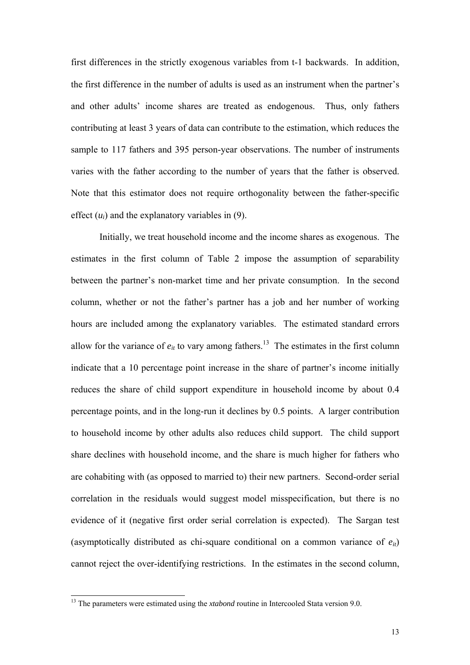first differences in the strictly exogenous variables from t-1 backwards. In addition, the first difference in the number of adults is used as an instrument when the partner's and other adults' income shares are treated as endogenous. Thus, only fathers contributing at least 3 years of data can contribute to the estimation, which reduces the sample to 117 fathers and 395 person-year observations. The number of instruments varies with the father according to the number of years that the father is observed. Note that this estimator does not require orthogonality between the father-specific effect  $(u_i)$  and the explanatory variables in  $(9)$ .

Initially, we treat household income and the income shares as exogenous. The estimates in the first column of Table 2 impose the assumption of separability between the partner's non-market time and her private consumption. In the second column, whether or not the father's partner has a job and her number of working hours are included among the explanatory variables. The estimated standard errors allow for the variance of  $e_{it}$  to vary among fathers.<sup>13</sup> The estimates in the first column indicate that a 10 percentage point increase in the share of partner's income initially reduces the share of child support expenditure in household income by about 0.4 percentage points, and in the long-run it declines by 0.5 points. A larger contribution to household income by other adults also reduces child support. The child support share declines with household income, and the share is much higher for fathers who are cohabiting with (as opposed to married to) their new partners. Second-order serial correlation in the residuals would suggest model misspecification, but there is no evidence of it (negative first order serial correlation is expected). The Sargan test (asymptotically distributed as chi-square conditional on a common variance of  $e_{it}$ ) cannot reject the over-identifying restrictions. In the estimates in the second column,

l

<sup>&</sup>lt;sup>13</sup> The parameters were estimated using the *xtabond* routine in Intercooled Stata version 9.0.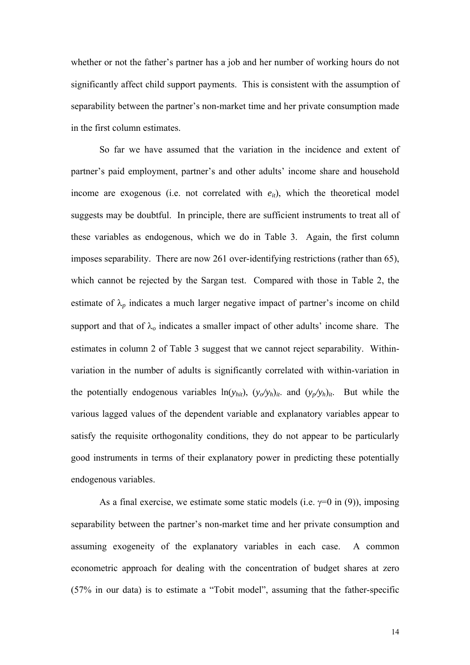whether or not the father's partner has a job and her number of working hours do not significantly affect child support payments. This is consistent with the assumption of separability between the partner's non-market time and her private consumption made in the first column estimates.

So far we have assumed that the variation in the incidence and extent of partner's paid employment, partner's and other adults' income share and household income are exogenous (i.e. not correlated with  $e_{it}$ ), which the theoretical model suggests may be doubtful. In principle, there are sufficient instruments to treat all of these variables as endogenous, which we do in Table 3. Again, the first column imposes separability. There are now 261 over-identifying restrictions (rather than 65), which cannot be rejected by the Sargan test. Compared with those in Table 2, the estimate of  $\lambda_p$  indicates a much larger negative impact of partner's income on child support and that of  $\lambda_o$  indicates a smaller impact of other adults' income share. The estimates in column 2 of Table 3 suggest that we cannot reject separability. Withinvariation in the number of adults is significantly correlated with within-variation in the potentially endogenous variables  $ln(y_{hit})$ ,  $(y_o/y_h)_{it}$  and  $(y_p/y_h)_{it}$ . But while the various lagged values of the dependent variable and explanatory variables appear to satisfy the requisite orthogonality conditions, they do not appear to be particularly good instruments in terms of their explanatory power in predicting these potentially endogenous variables.

As a final exercise, we estimate some static models (i.e.  $\gamma=0$  in (9)), imposing separability between the partner's non-market time and her private consumption and assuming exogeneity of the explanatory variables in each case. A common econometric approach for dealing with the concentration of budget shares at zero (57% in our data) is to estimate a "Tobit model", assuming that the father-specific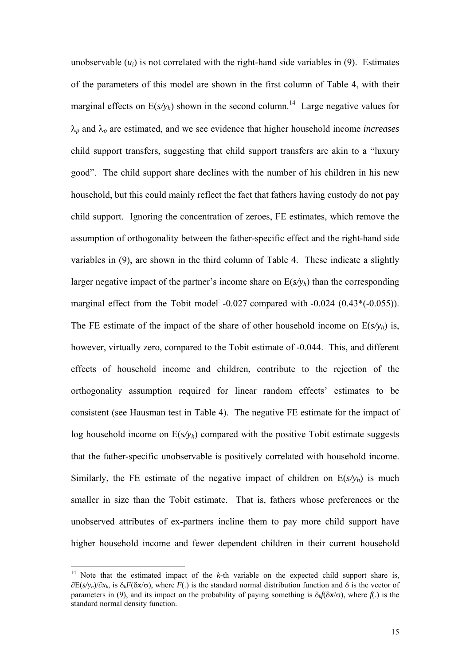unobservable  $(u_i)$  is not correlated with the right-hand side variables in  $(9)$ . Estimates of the parameters of this model are shown in the first column of Table 4, with their marginal effects on  $E(s/y_h)$  shown in the second column.<sup>14</sup> Large negative values for λ*<sup>p</sup>* and λ*o* are estimated, and we see evidence that higher household income *increases* child support transfers, suggesting that child support transfers are akin to a "luxury good". The child support share declines with the number of his children in his new household, but this could mainly reflect the fact that fathers having custody do not pay child support. Ignoring the concentration of zeroes, FE estimates, which remove the assumption of orthogonality between the father-specific effect and the right-hand side variables in (9), are shown in the third column of Table 4. These indicate a slightly larger negative impact of the partner's income share on  $E(s/v_h)$  than the corresponding marginal effect from the Tobit model:  $-0.027$  compared with  $-0.024$   $(0.43*(-0.055))$ . The FE estimate of the impact of the share of other household income on  $E(s/v_h)$  is, however, virtually zero, compared to the Tobit estimate of -0.044. This, and different effects of household income and children, contribute to the rejection of the orthogonality assumption required for linear random effects' estimates to be consistent (see Hausman test in Table 4). The negative FE estimate for the impact of log household income on  $E(s/v_h)$  compared with the positive Tobit estimate suggests that the father-specific unobservable is positively correlated with household income. Similarly, the FE estimate of the negative impact of children on  $E(s/v_h)$  is much smaller in size than the Tobit estimate. That is, fathers whose preferences or the unobserved attributes of ex-partners incline them to pay more child support have higher household income and fewer dependent children in their current household

l

<sup>&</sup>lt;sup>14</sup> Note that the estimated impact of the  $k$ -th variable on the expected child support share is, ∂E(*s/yh*)/∂*xk*, is δ*kF*(δ*x*/σ), where *F*(.) is the standard normal distribution function and δ is the vector of parameters in (9), and its impact on the probability of paying something is  $\delta_k f(\delta x/\sigma)$ , where  $f(x)$  is the standard normal density function.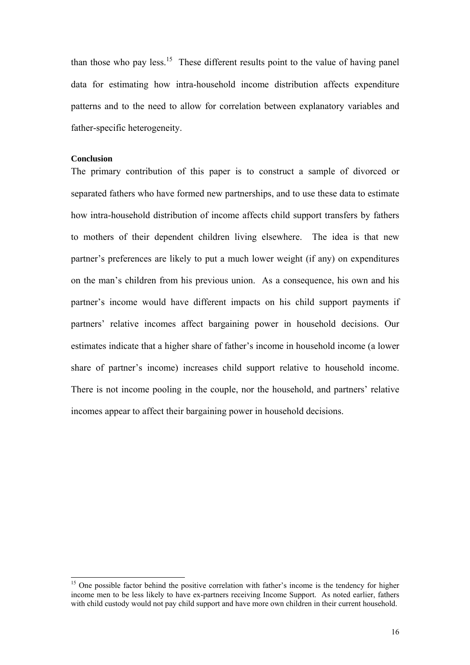than those who pay less.<sup>15</sup> These different results point to the value of having panel data for estimating how intra-household income distribution affects expenditure patterns and to the need to allow for correlation between explanatory variables and father-specific heterogeneity.

#### **Conclusion**

l

The primary contribution of this paper is to construct a sample of divorced or separated fathers who have formed new partnerships, and to use these data to estimate how intra-household distribution of income affects child support transfers by fathers to mothers of their dependent children living elsewhere. The idea is that new partner's preferences are likely to put a much lower weight (if any) on expenditures on the man's children from his previous union. As a consequence, his own and his partner's income would have different impacts on his child support payments if partners' relative incomes affect bargaining power in household decisions. Our estimates indicate that a higher share of father's income in household income (a lower share of partner's income) increases child support relative to household income. There is not income pooling in the couple, nor the household, and partners' relative incomes appear to affect their bargaining power in household decisions.

<sup>&</sup>lt;sup>15</sup> One possible factor behind the positive correlation with father's income is the tendency for higher income men to be less likely to have ex-partners receiving Income Support. As noted earlier, fathers with child custody would not pay child support and have more own children in their current household.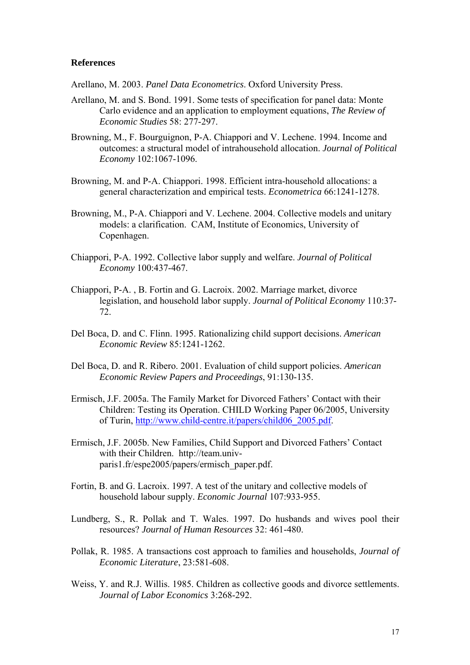# **References**

Arellano, M. 2003. *Panel Data Econometrics*. Oxford University Press.

- Arellano, M. and S. Bond. 1991. Some tests of specification for panel data: Monte Carlo evidence and an application to employment equations, *The Review of Economic Studies* 58: 277-297.
- Browning, M., F. Bourguignon, P-A. Chiappori and V. Lechene. 1994. Income and outcomes: a structural model of intrahousehold allocation. *Journal of Political Economy* 102:1067-1096.
- Browning, M. and P-A. Chiappori. 1998. Efficient intra-household allocations: a general characterization and empirical tests. *Econometrica* 66:1241-1278.
- Browning, M., P-A. Chiappori and V. Lechene. 2004. Collective models and unitary models: a clarification. CAM, Institute of Economics, University of Copenhagen.
- Chiappori, P-A. 1992. Collective labor supply and welfare. *Journal of Political Economy* 100:437-467.
- Chiappori, P-A. , B. Fortin and G. Lacroix. 2002. Marriage market, divorce legislation, and household labor supply. *Journal of Political Economy* 110:37- 72.
- Del Boca, D. and C. Flinn. 1995. Rationalizing child support decisions. *American Economic Review* 85:1241-1262.
- Del Boca, D. and R. Ribero. 2001. Evaluation of child support policies. *American Economic Review Papers and Proceedings*, 91:130-135.
- Ermisch, J.F. 2005a. The Family Market for Divorced Fathers' Contact with their Children: Testing its Operation. CHILD Working Paper 06/2005, University of Turin, http://www.child-centre.it/papers/child06\_2005.pdf.
- Ermisch, J.F. 2005b. New Families, Child Support and Divorced Fathers' Contact with their Children. http://team.univparis1.fr/espe2005/papers/ermisch\_paper.pdf.
- Fortin, B. and G. Lacroix. 1997. A test of the unitary and collective models of household labour supply. *Economic Journal* 107:933-955.
- Lundberg, S., R. Pollak and T. Wales. 1997. Do husbands and wives pool their resources? *Journal of Human Resources* 32: 461-480.
- Pollak, R. 1985. A transactions cost approach to families and households, *Journal of Economic Literature*, 23:581-608.
- Weiss, Y. and R.J. Willis. 1985. Children as collective goods and divorce settlements. *Journal of Labor Economics* 3:268-292.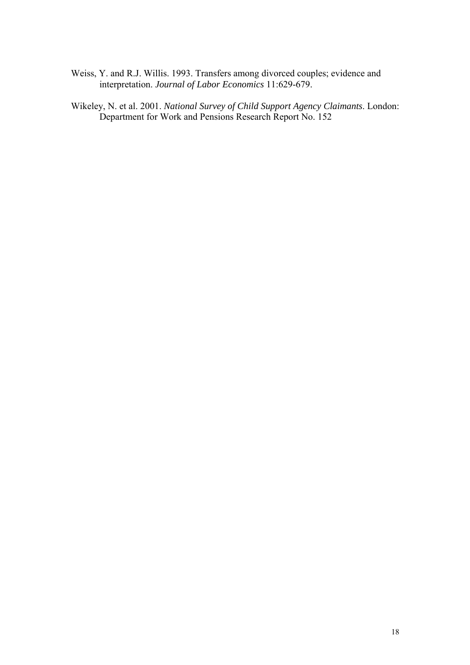- Weiss, Y. and R.J. Willis. 1993. Transfers among divorced couples; evidence and interpretation. *Journal of Labor Economics* 11:629-679.
- Wikeley, N. et al. 2001. *National Survey of Child Support Agency Claimants*. London: Department for Work and Pensions Research Report No. 152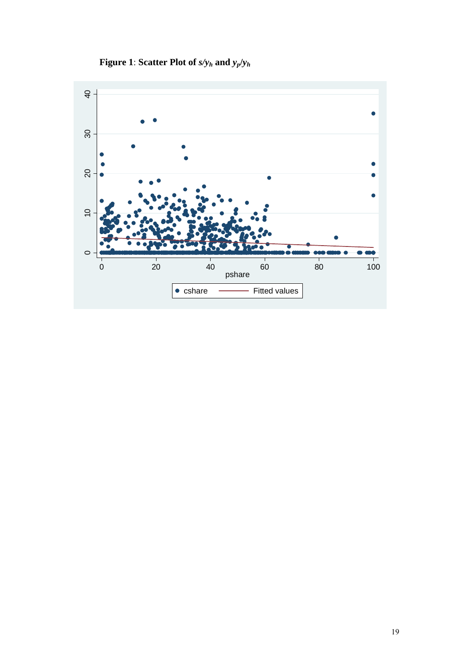**Figure 1**: **Scatter Plot of** *s/yh* **and** *yp***/***yh*

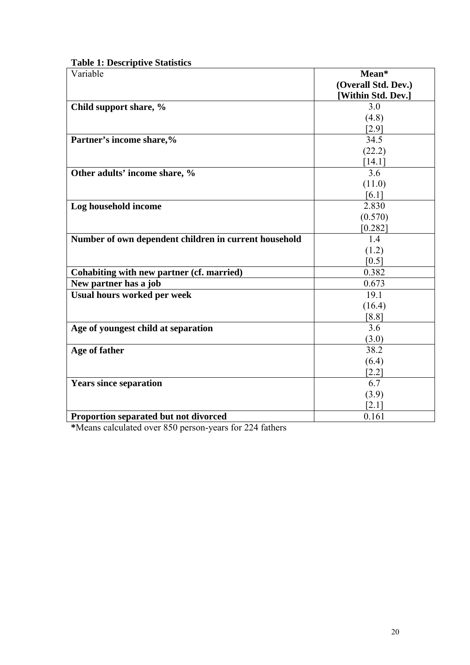| Variable                                              | Mean*               |
|-------------------------------------------------------|---------------------|
|                                                       | (Overall Std. Dev.) |
|                                                       | [Within Std. Dev.]  |
| Child support share, %                                | 3.0                 |
|                                                       | (4.8)               |
|                                                       | $[2.9]$             |
| Partner's income share,%                              | 34.5                |
|                                                       | (22.2)              |
|                                                       | $[14.1]$            |
| Other adults' income share, %                         | 3.6                 |
|                                                       | (11.0)              |
|                                                       | [6.1]               |
| Log household income                                  | 2.830               |
|                                                       | (0.570)             |
|                                                       | $[0.282]$           |
| Number of own dependent children in current household | 1.4                 |
|                                                       | (1.2)               |
|                                                       | [0.5]               |
| Cohabiting with new partner (cf. married)             | 0.382               |
| New partner has a job                                 | 0.673               |
| <b>Usual hours worked per week</b>                    | 19.1                |
|                                                       | (16.4)              |
|                                                       | [8.8]               |
| Age of youngest child at separation                   | 3.6                 |
|                                                       | (3.0)               |
| Age of father                                         | 38.2                |
|                                                       | (6.4)               |
|                                                       | $[2.2]$             |
| <b>Years since separation</b>                         | 6.7                 |
|                                                       | (3.9)               |
|                                                       | $\left[2.1\right]$  |
| Proportion separated but not divorced                 | 0.161               |

**\***Means calculated over 850 person-years for 224 fathers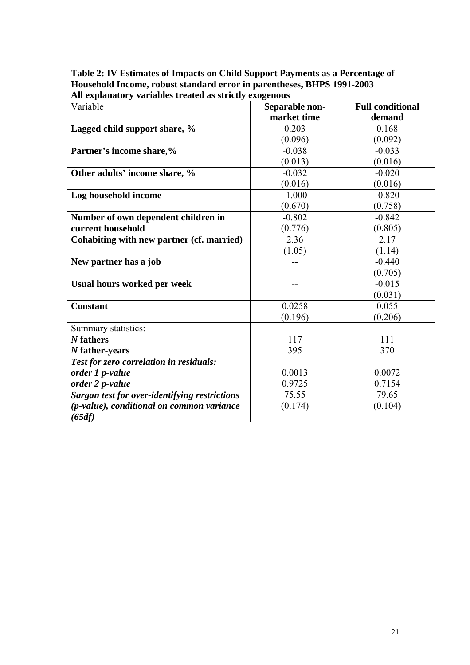**Table 2: IV Estimates of Impacts on Child Support Payments as a Percentage of Household Income, robust standard error in parentheses, BHPS 1991-2003 All explanatory variables treated as strictly exogenous** 

| Variable                                      | Separable non- | <b>Full conditional</b> |
|-----------------------------------------------|----------------|-------------------------|
|                                               | market time    | demand                  |
| Lagged child support share, %                 | 0.203          | 0.168                   |
|                                               | (0.096)        | (0.092)                 |
| Partner's income share,%                      | $-0.038$       | $-0.033$                |
|                                               | (0.013)        | (0.016)                 |
| Other adults' income share, %                 | $-0.032$       | $-0.020$                |
|                                               | (0.016)        | (0.016)                 |
| Log household income                          | $-1.000$       | $-0.820$                |
|                                               | (0.670)        | (0.758)                 |
| Number of own dependent children in           | $-0.802$       | $-0.842$                |
| current household                             | (0.776)        | (0.805)                 |
| Cohabiting with new partner (cf. married)     | 2.36           | 2.17                    |
|                                               | (1.05)         | (1.14)                  |
| New partner has a job                         |                | $-0.440$                |
|                                               |                | (0.705)                 |
| <b>Usual hours worked per week</b>            | --             | $-0.015$                |
|                                               |                | (0.031)                 |
| <b>Constant</b>                               | 0.0258         | 0.055                   |
|                                               | (0.196)        | (0.206)                 |
| Summary statistics:                           |                |                         |
| N fathers                                     | 117            | 111                     |
| $N$ father-years                              | 395            | 370                     |
| Test for zero correlation in residuals:       |                |                         |
| order 1 p-value                               | 0.0013         | 0.0072                  |
| order 2 p-value                               | 0.9725         | 0.7154                  |
| Sargan test for over-identifying restrictions | 75.55          | 79.65                   |
| (p-value), conditional on common variance     | (0.174)        | (0.104)                 |
| (65df)                                        |                |                         |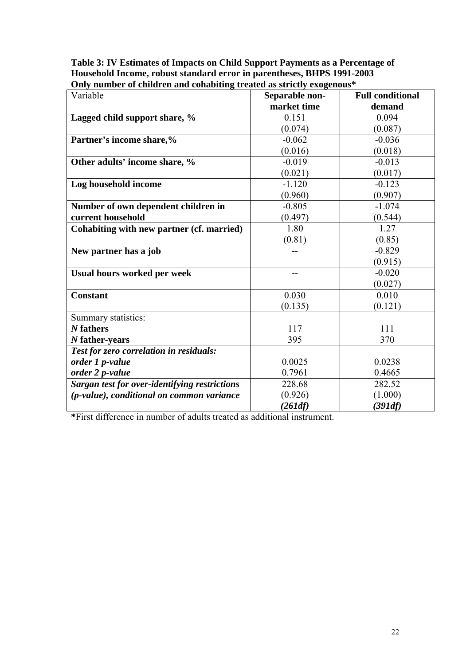# **Table 3: IV Estimates of Impacts on Child Support Payments as a Percentage of Household Income, robust standard error in parentheses, BHPS 1991-2003 Only number of children and cohabiting treated as strictly exogenous\***

| Variable                                      | Separable non- | <b>Full conditional</b> |
|-----------------------------------------------|----------------|-------------------------|
|                                               | market time    | demand                  |
| Lagged child support share, %                 | 0.151          | 0.094                   |
|                                               | (0.074)        | (0.087)                 |
| Partner's income share,%                      | $-0.062$       | $-0.036$                |
|                                               | (0.016)        | (0.018)                 |
| Other adults' income share, %                 | $-0.019$       | $-0.013$                |
|                                               | (0.021)        | (0.017)                 |
| Log household income                          | $-1.120$       | $-0.123$                |
|                                               | (0.960)        | (0.907)                 |
| Number of own dependent children in           | $-0.805$       | $-1.074$                |
| current household                             | (0.497)        | (0.544)                 |
| Cohabiting with new partner (cf. married)     | 1.80           | 1.27                    |
|                                               | (0.81)         | (0.85)                  |
| New partner has a job                         |                | $-0.829$                |
|                                               |                | (0.915)                 |
| <b>Usual hours worked per week</b>            |                | $-0.020$                |
|                                               |                | (0.027)                 |
| <b>Constant</b>                               | 0.030          | 0.010                   |
|                                               | (0.135)        | (0.121)                 |
| Summary statistics:                           |                |                         |
| N fathers                                     | 117            | 111                     |
| $N$ father-years                              | 395            | 370                     |
| Test for zero correlation in residuals:       |                |                         |
| order 1 p-value                               | 0.0025         | 0.0238                  |
| order 2 p-value                               | 0.7961         | 0.4665                  |
| Sargan test for over-identifying restrictions | 228.68         | 282.52                  |
| (p-value), conditional on common variance     | (0.926)        | (1.000)                 |
|                                               | (261df)        | (391df)                 |

**\***First difference in number of adults treated as additional instrument.